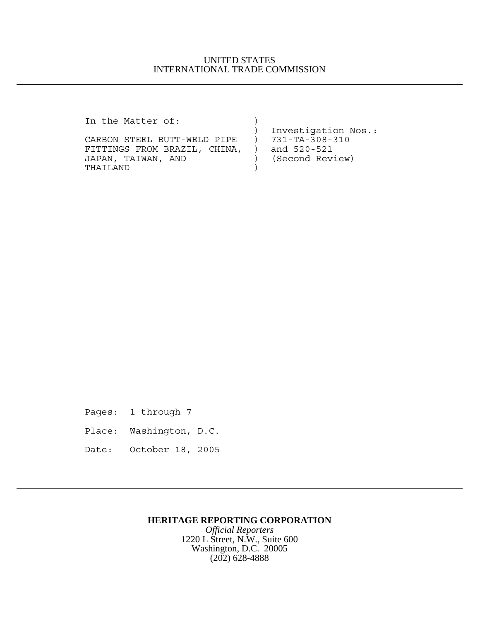In the Matter of:  $)$ 

|                                              | Investigation Nos.: |
|----------------------------------------------|---------------------|
| CARBON STEEL BUTT-WELD PIPE ) 731-TA-308-310 |                     |
| FITTINGS FROM BRAZIL, CHINA, ) and 520-521   |                     |
| JAPAN, TAIWAN, AND                           | (Second Review)     |
| THATIAND                                     |                     |

Pages: 1 through 7 Place: Washington, D.C.

Date: October 18, 2005

## **HERITAGE REPORTING CORPORATION**

*Official Reporters* 1220 L Street, N.W., Suite 600 Washington, D.C. 20005 (202) 628-4888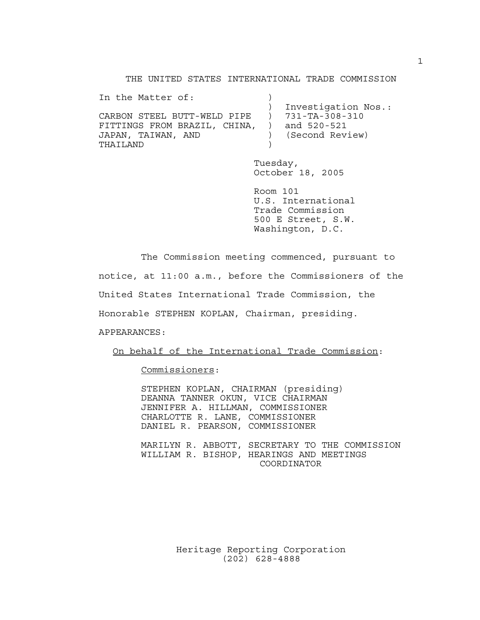THE UNITED STATES INTERNATIONAL TRADE COMMISSION

In the Matter of: ) Investigation Nos.: CARBON STEEL BUTT-WELD PIPE ) 731-TA-308-310 FITTINGS FROM BRAZIL, CHINA, ) and 520-521 JAPAN, TAIWAN, AND ) (Second Review) THAILAND )

> Tuesday, October 18, 2005

Room 101 U.S. International Trade Commission 500 E Street, S.W. Washington, D.C.

The Commission meeting commenced, pursuant to

notice, at 11:00 a.m., before the Commissioners of the

United States International Trade Commission, the

Honorable STEPHEN KOPLAN, Chairman, presiding.

APPEARANCES:

On behalf of the International Trade Commission:

Commissioners:

STEPHEN KOPLAN, CHAIRMAN (presiding) DEANNA TANNER OKUN, VICE CHAIRMAN JENNIFER A. HILLMAN, COMMISSIONER CHARLOTTE R. LANE, COMMISSIONER DANIEL R. PEARSON, COMMISSIONER

MARILYN R. ABBOTT, SECRETARY TO THE COMMISSION WILLIAM R. BISHOP, HEARINGS AND MEETINGS COORDINATOR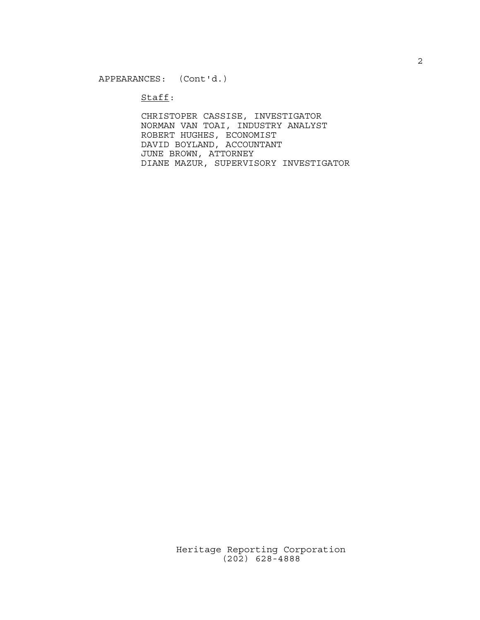Staff:

CHRISTOPER CASSISE, INVESTIGATOR NORMAN VAN TOAI, INDUSTRY ANALYST ROBERT HUGHES, ECONOMIST DAVID BOYLAND, ACCOUNTANT JUNE BROWN, ATTORNEY DIANE MAZUR, SUPERVISORY INVESTIGATOR 2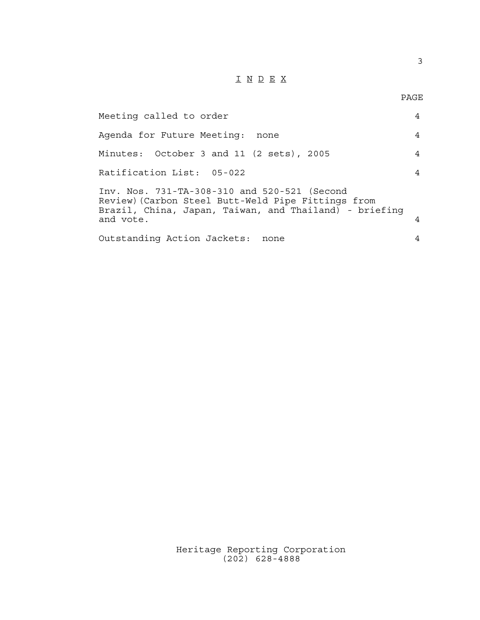## I N D E X

| Meeting called to order                                                                                                                                                   | $\overline{4}$ |
|---------------------------------------------------------------------------------------------------------------------------------------------------------------------------|----------------|
| Agenda for Future Meeting:<br>none                                                                                                                                        | $\overline{4}$ |
| Minutes: October 3 and 11 (2 sets), 2005                                                                                                                                  | $\overline{4}$ |
| Ratification List: 05-022                                                                                                                                                 | $\overline{4}$ |
| Inv. Nos. 731-TA-308-310 and 520-521 (Second<br>Review) (Carbon Steel Butt-Weld Pipe Fittings from<br>Brazil, China, Japan, Taiwan, and Thailand) - briefing<br>and vote. | $\overline{4}$ |
| Outstanding Action Jackets: none                                                                                                                                          | 4              |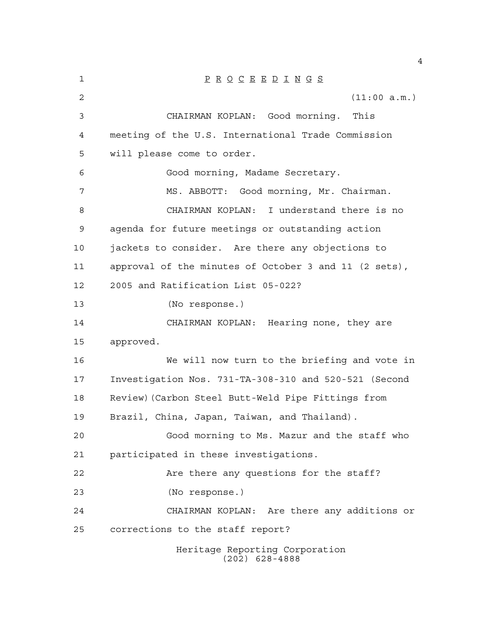| 1              | $\underline{P} \underline{R} \underline{O} \underline{C} \underline{E} \underline{E} \underline{D} \underline{I} \underline{N} \underline{G} \underline{S}$ |
|----------------|-------------------------------------------------------------------------------------------------------------------------------------------------------------|
| $\overline{c}$ | (11:00 a.m.)                                                                                                                                                |
| 3              | CHAIRMAN KOPLAN: Good morning. This                                                                                                                         |
| 4              | meeting of the U.S. International Trade Commission                                                                                                          |
| 5              | will please come to order.                                                                                                                                  |
| 6              | Good morning, Madame Secretary.                                                                                                                             |
| 7              | MS. ABBOTT: Good morning, Mr. Chairman.                                                                                                                     |
| 8              | CHAIRMAN KOPLAN: I understand there is no                                                                                                                   |
| 9              | agenda for future meetings or outstanding action                                                                                                            |
| 10             | jackets to consider. Are there any objections to                                                                                                            |
| 11             | approval of the minutes of October 3 and 11 (2 sets),                                                                                                       |
| 12             | 2005 and Ratification List 05-022?                                                                                                                          |
| 13             | (No response.)                                                                                                                                              |
| 14             | CHAIRMAN KOPLAN: Hearing none, they are                                                                                                                     |
| 15             | approved.                                                                                                                                                   |
| 16             | We will now turn to the briefing and vote in                                                                                                                |
| 17             | Investigation Nos. 731-TA-308-310 and 520-521 (Second                                                                                                       |
| 18             | Review) (Carbon Steel Butt-Weld Pipe Fittings from                                                                                                          |
| 19             | Brazil, China, Japan, Taiwan, and Thailand).                                                                                                                |
| 20             | Good morning to Ms. Mazur and the staff who                                                                                                                 |
| 21             | participated in these investigations.                                                                                                                       |
| 22             | Are there any questions for the staff?                                                                                                                      |
| 23             | (No response.)                                                                                                                                              |
| 24             | CHAIRMAN KOPLAN: Are there any additions or                                                                                                                 |
| 25             | corrections to the staff report?                                                                                                                            |
|                | Heritage Reporting Corporation<br>$(202)$ 628-4888                                                                                                          |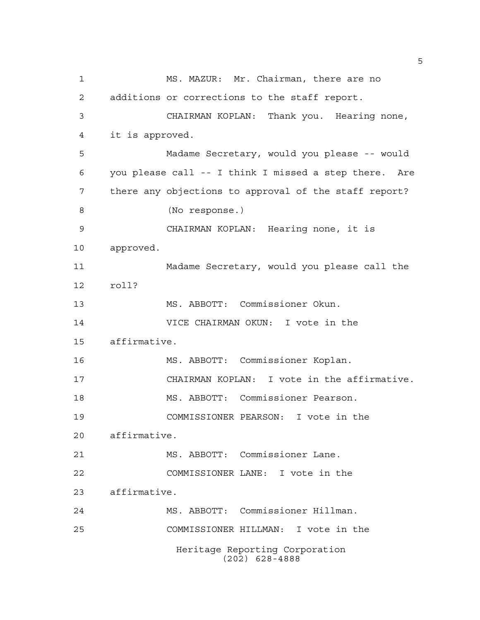Heritage Reporting Corporation (202) 628-4888 MS. MAZUR: Mr. Chairman, there are no additions or corrections to the staff report. CHAIRMAN KOPLAN: Thank you. Hearing none, it is approved. Madame Secretary, would you please -- would you please call -- I think I missed a step there. Are there any objections to approval of the staff report? (No response.) CHAIRMAN KOPLAN: Hearing none, it is approved. Madame Secretary, would you please call the roll? MS. ABBOTT: Commissioner Okun. VICE CHAIRMAN OKUN: I vote in the affirmative. MS. ABBOTT: Commissioner Koplan. CHAIRMAN KOPLAN: I vote in the affirmative. MS. ABBOTT: Commissioner Pearson. COMMISSIONER PEARSON: I vote in the affirmative. MS. ABBOTT: Commissioner Lane. COMMISSIONER LANE: I vote in the affirmative. MS. ABBOTT: Commissioner Hillman. COMMISSIONER HILLMAN: I vote in the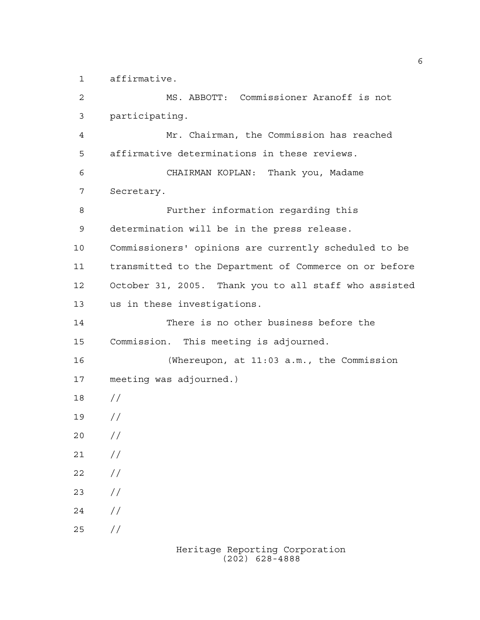affirmative.

 MS. ABBOTT: Commissioner Aranoff is not participating. Mr. Chairman, the Commission has reached affirmative determinations in these reviews. CHAIRMAN KOPLAN: Thank you, Madame Secretary. Further information regarding this determination will be in the press release. Commissioners' opinions are currently scheduled to be transmitted to the Department of Commerce on or before October 31, 2005. Thank you to all staff who assisted us in these investigations. There is no other business before the Commission. This meeting is adjourned. (Whereupon, at 11:03 a.m., the Commission meeting was adjourned.) // //  $20 /$  //  $22 / /$  $23 / /$  $24 /$ //